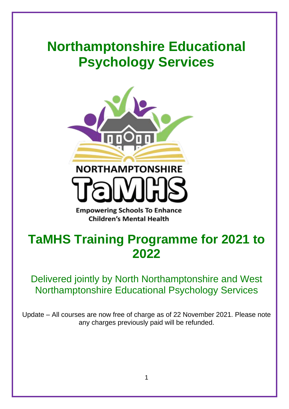# **Northamptonshire Educational Psychology Services**



**Empowering Schools To Enhance Children's Mental Health** 

# **TaMHS Training Programme for 2021 to 2022**

### Delivered jointly by North Northamptonshire and West Northamptonshire Educational Psychology Services

Update – All courses are now free of charge as of 22 November 2021. Please note any charges previously paid will be refunded.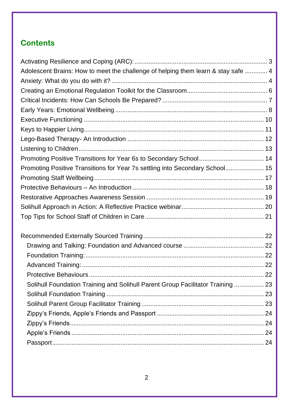### **Contents**

| Adolescent Brains: How to meet the challenge of helping them learn & stay safe  4 |  |
|-----------------------------------------------------------------------------------|--|
|                                                                                   |  |
|                                                                                   |  |
|                                                                                   |  |
|                                                                                   |  |
|                                                                                   |  |
|                                                                                   |  |
|                                                                                   |  |
|                                                                                   |  |
|                                                                                   |  |
| Promoting Positive Transitions for Year 7s settling into Secondary School 15      |  |
|                                                                                   |  |
|                                                                                   |  |
|                                                                                   |  |
|                                                                                   |  |
|                                                                                   |  |
|                                                                                   |  |
|                                                                                   |  |
|                                                                                   |  |
|                                                                                   |  |
|                                                                                   |  |
| Solihull Foundation Training and Solihull Parent Group Facilitator Training  23   |  |
|                                                                                   |  |
|                                                                                   |  |
|                                                                                   |  |
|                                                                                   |  |
|                                                                                   |  |
|                                                                                   |  |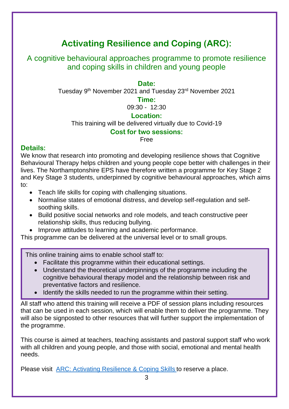## **Activating Resilience and Coping (ARC):**

<span id="page-2-0"></span>A cognitive behavioural approaches programme to promote resilience and coping skills in children and young people

#### **Date:**

Tuesday 9th November 2021 and Tuesday 23rd November 2021

### **Time:**

09:30 - 12:30

### **Location:**

This training will be delivered virtually due to Covid-19

### **Cost for two sessions:**

Free

### **Details:**

We know that research into promoting and developing resilience shows that Cognitive Behavioural Therapy helps children and young people cope better with challenges in their lives. The Northamptonshire EPS have therefore written a programme for Key Stage 2 and Key Stage 3 students, underpinned by cognitive behavioural approaches, which aims to:

- Teach life skills for coping with challenging situations.
- Normalise states of emotional distress, and develop self-regulation and selfsoothing skills.
- Build positive social networks and role models, and teach constructive peer relationship skills, thus reducing bullying.
- Improve attitudes to learning and academic performance.

This programme can be delivered at the universal level or to small groups.

This online training aims to enable school staff to:

- Facilitate this programme within their educational settings.
- Understand the theoretical underpinnings of the programme including the cognitive behavioural therapy model and the relationship between risk and preventative factors and resilience.
- Identify the skills needed to run the programme within their setting.

All staff who attend this training will receive a PDF of session plans including resources that can be used in each session, which will enable them to deliver the programme. They will also be signposted to other resources that will further support the implementation of the programme.

This course is aimed at teachers, teaching assistants and pastoral support staff who work with all children and young people, and those with social, emotional and mental health needs.

Please visit [ARC: Activating Resilience & Coping Skills](https://www.eventbrite.co.uk/e/arc-activating-resilience-and-coping-skills-in-cyp-cba-programme-tickets-166311635579) to reserve a place.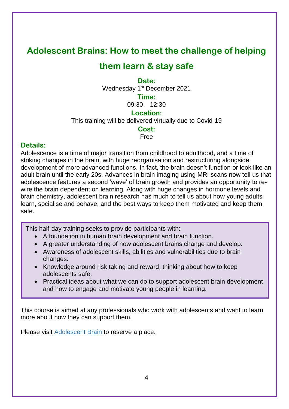### <span id="page-3-0"></span>**Adolescent Brains: How to meet the challenge of helping**

### **them learn & stay safe**

**Date:**

Wednesday 1<sup>st</sup> December 2021

**Time:**

 $09:30 - 12:30$ 

### **Location:**

This training will be delivered virtually due to Covid-19

### **Cost:**

Free

### **Details:**

Adolescence is a time of major transition from childhood to adulthood, and a time of striking changes in the brain, with huge reorganisation and restructuring alongside development of more advanced functions. In fact, the brain doesn't function or look like an adult brain until the early 20s. Advances in brain imaging using MRI scans now tell us that adolescence features a second 'wave' of brain growth and provides an opportunity to rewire the brain dependent on learning. Along with huge changes in hormone levels and brain chemistry, adolescent brain research has much to tell us about how young adults learn, socialise and behave, and the best ways to keep them motivated and keep them safe.

This half-day training seeks to provide participants with:

- A foundation in human brain development and brain function.
- A greater understanding of how adolescent brains change and develop.
- Awareness of adolescent skills, abilities and vulnerabilities due to brain changes.
- Knowledge around risk taking and reward, thinking about how to keep adolescents safe.
- <span id="page-3-1"></span>• Practical ideas about what we can do to support adolescent brain development and how to engage and motivate young people in learning.

This course is aimed at any professionals who work with adolescents and want to learn more about how they can support them.

Please visit [Adolescent Brain](https://www.eventbrite.co.uk/e/adolescent-brain-tickets-165266571765) to reserve a place.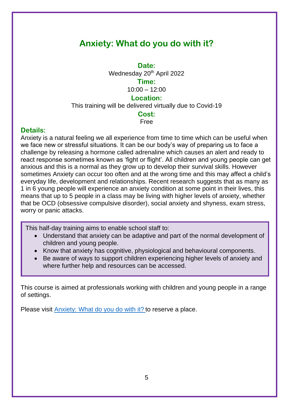### **Anxiety: What do you do with it?**

**Date:**

Wednesday 20<sup>th</sup> April 2022

### **Time:**

 $10:00 - 12:00$ 

#### **Location:**

This training will be delivered virtually due to Covid-19

#### **Cost:**

Free

### **Details:**

Anxiety is a natural feeling we all experience from time to time which can be useful when we face new or stressful situations. It can be our body's way of preparing us to face a challenge by releasing a hormone called adrenaline which causes an alert and ready to react response sometimes known as 'fight or flight'. All children and young people can get anxious and this is a normal as they grow up to develop their survival skills. However sometimes Anxiety can occur too often and at the wrong time and this may affect a child's everyday life, development and relationships. Recent research suggests that as many as 1 in 6 young people will experience an anxiety condition at some point in their lives, this means that up to 5 people in a class may be living with higher levels of anxiety, whether that be OCD (obsessive compulsive disorder), social anxiety and shyness, exam stress, worry or panic attacks.

This half-day training aims to enable school staff to:

- Understand that anxiety can be adaptive and part of the normal development of children and young people.
- Know that anxiety has cognitive, physiological and behavioural components.
- Be aware of ways to support children experiencing higher levels of anxiety and where further help and resources can be accessed.

This course is aimed at professionals working with children and young people in a range of settings.

<span id="page-4-0"></span>Please visit [Anxiety: What do you do with it?](https://www.eventbrite.co.uk/e/anxiety-what-do-you-do-with-it-tickets-166487112435) to reserve a place.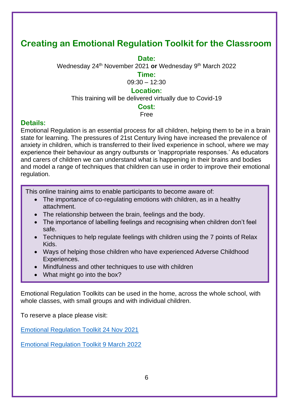### **Creating an Emotional Regulation Toolkit for the Classroom**

#### **Date:**

Wednesday 24th November 2021 **or** Wednesday 9th March 2022

#### **Time:**

09:30 – 12:30

### **Location:**

This training will be delivered virtually due to Covid-19

#### **Cost:**

#### Free

### **Details:**

Emotional Regulation is an essential process for all children, helping them to be in a brain state for learning. The pressures of 21st Century living have increased the prevalence of anxiety in children, which is transferred to their lived experience in school, where we may experience their behaviour as angry outbursts or 'inappropriate responses.' As educators and carers of children we can understand what is happening in their brains and bodies and model a range of techniques that children can use in order to improve their emotional regulation.

This online training aims to enable participants to become aware of:

- The importance of co-regulating emotions with children, as in a healthy attachment.
- The relationship between the brain, feelings and the body.
- The importance of labelling feelings and recognising when children don't feel safe.
- Techniques to help regulate feelings with children using the 7 points of Relax Kids.
- Ways of helping those children who have experienced Adverse Childhood Experiences.
- Mindfulness and other techniques to use with children
- What might go into the box?

Emotional Regulation Toolkits can be used in the home, across the whole school, with whole classes, with small groups and with individual children.

To reserve a place please visit:

[Emotional Regulation Toolkit 24 Nov 2021](https://www.eventbrite.co.uk/e/creating-an-emotional-regulation-toolkit-for-the-classroom-tickets-166488683133)

Emotional Regulation Toolkit 9 March 2022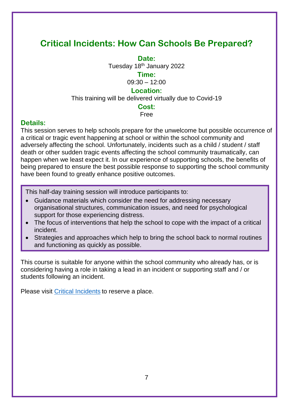### <span id="page-6-0"></span>**Critical Incidents: How Can Schools Be Prepared?**

**Date:**

Tuesday 18th January 2022

**Time:**

09:30 – 12:00

### **Location:**

This training will be delivered virtually due to Covid-19

### **Cost:**

Free

### **Details:**

This session serves to help schools prepare for the unwelcome but possible occurrence of a critical or tragic event happening at school or within the school community and adversely affecting the school. Unfortunately, incidents such as a child / student / staff death or other sudden tragic events affecting the school community traumatically, can happen when we least expect it. In our experience of supporting schools, the benefits of being prepared to ensure the best possible response to supporting the school community have been found to greatly enhance positive outcomes.

This half-day training session will introduce participants to:

- Guidance materials which consider the need for addressing necessary organisational structures, communication issues, and need for psychological support for those experiencing distress.
- The focus of interventions that help the school to cope with the impact of a critical incident.
- Strategies and approaches which help to bring the school back to normal routines and functioning as quickly as possible.

This course is suitable for anyone within the school community who already has, or is considering having a role in taking a lead in an incident or supporting staff and / or students following an incident.

Please visit [Critical Incidents](https://www.eventbrite.co.uk/e/critical-incidents-how-schools-can-be-prepared-tickets-166492590821) to reserve a place.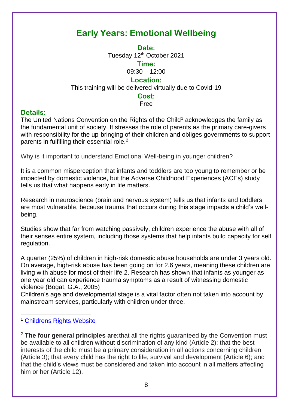### <span id="page-7-0"></span>**Early Years: Emotional Wellbeing**

**Date:**

Tuesday 12<sup>th</sup> October 2021

**Time:**

09:30 – 12:00

### **Location:**

This training will be delivered virtually due to Covid-19

### **Cost:**

Free

### **Details:**

The United Nations Convention on the Rights of the Child<sup>1</sup> acknowledges the family as the fundamental unit of society. It stresses the role of parents as the primary care-givers with responsibility for the up-bringing of their children and obliges governments to support parents in fulfilling their essential role.<sup>2</sup>

Why is it important to understand Emotional Well-being in younger children?

It is a common misperception that infants and toddlers are too young to remember or be impacted by domestic violence, but the Adverse Childhood Experiences (ACEs) study tells us that what happens early in life matters.

Research in neuroscience (brain and nervous system) tells us that infants and toddlers are most vulnerable, because trauma that occurs during this stage impacts a child's wellbeing.

Studies show that far from watching passively, children experience the abuse with all of their senses entire system, including those systems that help infants build capacity for self regulation.

A quarter (25%) of children in high-risk domestic abuse households are under 3 years old. On average, high-risk abuse has been going on for 2.6 years, meaning these children are living with abuse for most of their life 2. Research has shown that infants as younger as one year old can experience trauma symptoms as a result of witnessing domestic violence (Bogat, G.A., 2005)

Children's age and developmental stage is a vital factor often not taken into account by mainstream services, particularly with children under three.

<sup>2</sup> **The four general principles are:**that all the rights guaranteed by the Convention must be available to all children without discrimination of any kind (Article 2); that the best interests of the child must be a primary consideration in all actions concerning children (Article 3); that every child has the right to life, survival and development (Article 6); and that the child's views must be considered and taken into account in all matters affecting him or her (Article 12).

<sup>1</sup> [Childrens Rights Website](https://www.childrensrights.ie/sites/default/files/submissions_reports/files/UNCRCEnglish_0.pdf)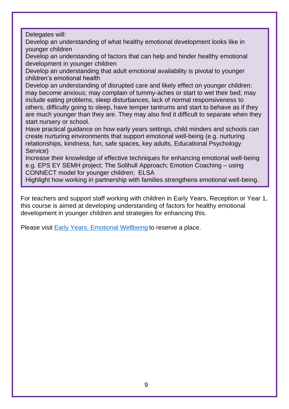Delegates will:

Develop an understanding of what healthy emotional development looks like in younger children

Develop an understanding of factors that can help and hinder healthy emotional development in younger children

Develop an understanding that adult emotional availability is pivotal to younger children's emotional health

Develop an understanding of disrupted care and likely effect on younger children: may become anxious; may complain of tummy-aches or start to wet their bed; may include eating problems, sleep disturbances, lack of normal responsiveness to others, difficulty going to sleep, have temper tantrums and start to behave as if they are much younger than they are. They may also find it difficult to separate when they start nursery or school.

Have practical guidance on how early years settings, child minders and schools can create nurturing environments that support emotional well-being (e.g. nurturing relationships, kindness, fun, safe spaces, key adults, Educational Psychology Service)

Increase their knowledge of effective techniques for enhancing emotional well-being e.g. EPS EY SEMH project; The Solihull Approach; Emotion Coaching – using CONNECT model for younger children; ELSA

Highlight how working in partnership with families strengthens emotional well-being.

For teachers and support staff working with children in Early Years, Reception or Year 1, this course is aimed at developing understanding of factors for healthy emotional development in younger children and strategies for enhancing this.

Please visit [Early Years: Emotional Wellbeing](https://www.eventbrite.co.uk/e/early-years-emotional-wellbeing-tickets-166498815439) to reserve a place.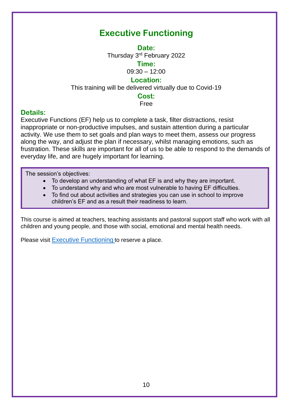### **Executive Functioning**

**Date:**

Thursday 3<sup>rd</sup> February 2022

**Time:**

09:30 – 12:00

### **Location:**

<span id="page-9-0"></span>This training will be delivered virtually due to Covid-19

### **Cost:**

Free

### **Details:**

Executive Functions (EF) help us to complete a task, filter distractions, resist inappropriate or non-productive impulses, and sustain attention during a particular activity. We use them to set goals and plan ways to meet them, assess our progress along the way, and adjust the plan if necessary, whilst managing emotions, such as frustration. These skills are important for all of us to be able to respond to the demands of everyday life, and are hugely important for learning.

The session's objectives:

- To develop an understanding of what EF is and why they are important.
- To understand why and who are most vulnerable to having EF difficulties.
- To find out about activities and strategies you can use in school to improve children's EF and as a result their readiness to learn.

This course is aimed at teachers, teaching assistants and pastoral support staff who work with all children and young people, and those with social, emotional and mental health needs.

Please visit [Executive Functioning](https://www.eventbrite.co.uk/e/executive-functioning-tickets-166500775301) to reserve a place.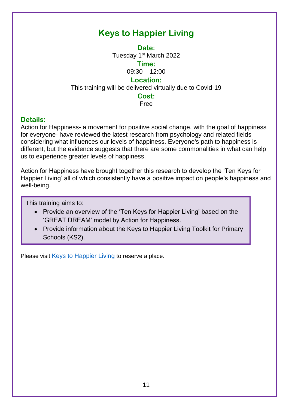### **Keys to Happier Living**

**Date:**

Tuesday 1<sup>st</sup> March 2022

**Time:**

09:30 – 12:00

### **Location:**

<span id="page-10-0"></span>This training will be delivered virtually due to Covid-19

### **Cost:**

Free

### **Details:**

Action for Happiness- a movement for positive social change, with the goal of happiness for everyone- have reviewed the latest research from psychology and related fields considering what influences our levels of happiness. Everyone's path to happiness is different, but the evidence suggests that there are some commonalities in what can help us to experience greater levels of happiness.

Action for Happiness have brought together this research to develop the 'Ten Keys for Happier Living' all of which consistently have a positive impact on people's happiness and well-being.

This training aims to:

- Provide an overview of the 'Ten Keys for Happier Living' based on the 'GREAT DREAM' model by Action for Happiness.
- Provide information about the Keys to Happier Living Toolkit for Primary Schools (KS2).

Please visit [Keys to Happier Living](https://www.eventbrite.co.uk/e/keys-to-happier-living-tickets-166503064147) to reserve a place.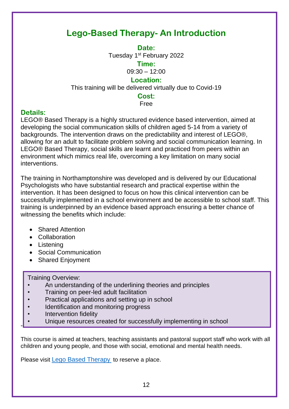### <span id="page-11-0"></span>**Lego-Based Therapy- An Introduction**

**Date:**

Tuesday 1<sup>st</sup> February 2022

**Time:**

09:30 – 12:00

### **Location:**

This training will be delivered virtually due to Covid-19

### **Cost:**

Free

### **Details:**

LEGO® Based Therapy is a highly structured evidence based intervention, aimed at developing the social communication skills of children aged 5-14 from a variety of backgrounds. The intervention draws on the predictability and interest of LEGO®, allowing for an adult to facilitate problem solving and social communication learning. In LEGO® Based Therapy, social skills are learnt and practiced from peers within an environment which mimics real life, overcoming a key limitation on many social interventions.

The training in Northamptonshire was developed and is delivered by our Educational Psychologists who have substantial research and practical expertise within the intervention. It has been designed to focus on how this clinical intervention can be successfully implemented in a school environment and be accessible to school staff. This training is underpinned by an evidence based approach ensuring a better chance of witnessing the benefits which include:

- Shared Attention
- Collaboration
- Listening

-

- Social Communication
- Shared Enjoyment

Training Overview:

- An understanding of the underlining theories and principles
- Training on peer-led adult facilitation
- Practical applications and setting up in school
- Identification and monitoring progress
- Intervention fidelity
- Unique resources created for successfully implementing in school

This course is aimed at teachers, teaching assistants and pastoral support staff who work with all children and young people, and those with social, emotional and mental health needs.

Please visit [Lego Based Therapy](https://www.eventbrite.co.uk/e/lego-based-therapy-tickets-166609967899) to reserve a place.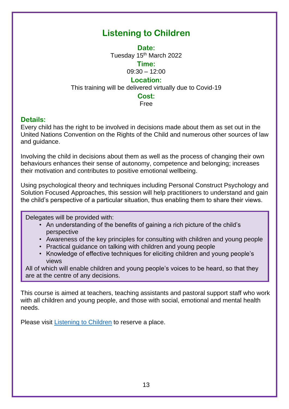### **Listening to Children**

**Date:**

Tuesday 15<sup>th</sup> March 2022

**Time:**

09:30 – 12:00

### **Location:**

<span id="page-12-0"></span>This training will be delivered virtually due to Covid-19

### **Cost:**

#### Free

### **Details:**

Every child has the right to be involved in decisions made about them as set out in the United Nations Convention on the Rights of the Child and numerous other sources of law and guidance.

Involving the child in decisions about them as well as the process of changing their own behaviours enhances their sense of autonomy, competence and belonging; increases their motivation and contributes to positive emotional wellbeing.

Using psychological theory and techniques including Personal Construct Psychology and Solution Focused Approaches, this session will help practitioners to understand and gain the child's perspective of a particular situation, thus enabling them to share their views.

Delegates will be provided with:

- An understanding of the benefits of gaining a rich picture of the child's perspective
- Awareness of the key principles for consulting with children and young people
- Practical guidance on talking with children and young people
- Knowledge of effective techniques for eliciting children and young people's views

All of which will enable children and young people's voices to be heard, so that they are at the centre of any decisions.

This course is aimed at teachers, teaching assistants and pastoral support staff who work with all children and young people, and those with social, emotional and mental health needs.

Please visit [Listening to Children](https://www.eventbrite.co.uk/e/listening-to-children-tickets-166611223655) to reserve a place.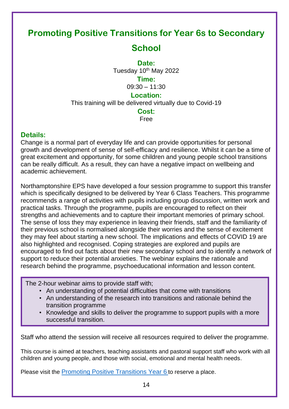### <span id="page-13-0"></span>**Promoting Positive Transitions for Year 6s to Secondary**

### **School**

**Date:** Tuesday 10<sup>th</sup> May 2022 **Time:** 09:30 – 11:30

### **Location:**

This training will be delivered virtually due to Covid-19

### **Cost:**

Free

### **Details:**

Change is a normal part of everyday life and can provide opportunities for personal growth and development of sense of self-efficacy and resilience. Whilst it can be a time of great excitement and opportunity, for some children and young people school transitions can be really difficult. As a result, they can have a negative impact on wellbeing and academic achievement.

Northamptonshire EPS have developed a four session programme to support this transfer which is specifically designed to be delivered by Year 6 Class Teachers. This programme recommends a range of activities with pupils including group discussion, written work and practical tasks. Through the programme, pupils are encouraged to reflect on their strengths and achievements and to capture their important memories of primary school. The sense of loss they may experience in leaving their friends, staff and the familiarity of their previous school is normalised alongside their worries and the sense of excitement they may feel about starting a new school. The implications and effects of COVID 19 are also highlighted and recognised. Coping strategies are explored and pupils are encouraged to find out facts about their new secondary school and to identify a network of support to reduce their potential anxieties. The webinar explains the rationale and research behind the programme, psychoeducational information and lesson content.

The 2-hour webinar aims to provide staff with;

- An understanding of potential difficulties that come with transitions
- An understanding of the research into transitions and rationale behind the transition programme
- Knowledge and skills to deliver the programme to support pupils with a more successful transition.

Staff who attend the session will receive all resources required to deliver the programme.

This course is aimed at teachers, teaching assistants and pastoral support staff who work with all children and young people, and those with social, emotional and mental health needs.

Please visit the [Promoting Positive Transitions Year 6](https://www.eventbrite.co.uk/e/promoting-positive-transitions-for-year-6s-to-secondary-school-tickets-166621965785) to reserve a place.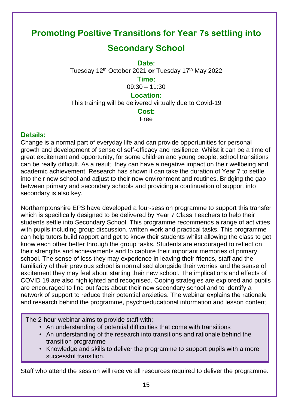### <span id="page-14-0"></span>**Promoting Positive Transitions for Year 7s settling into**

### **Secondary School**

**Date:**

Tuesday 12th October 2021 **or** Tuesday 17th May 2022

### **Time:**

09:30 – 11:30

### **Location:**

This training will be delivered virtually due to Covid-19

#### **Cost:**

Free

### **Details:**

Change is a normal part of everyday life and can provide opportunities for personal growth and development of sense of self-efficacy and resilience. Whilst it can be a time of great excitement and opportunity, for some children and young people, school transitions can be really difficult. As a result, they can have a negative impact on their wellbeing and academic achievement. Research has shown it can take the duration of Year 7 to settle into their new school and adjust to their new environment and routines. Bridging the gap between primary and secondary schools and providing a continuation of support into secondary is also key.

Northamptonshire EPS have developed a four-session programme to support this transfer which is specifically designed to be delivered by Year 7 Class Teachers to help their students settle into Secondary School. This programme recommends a range of activities with pupils including group discussion, written work and practical tasks. This programme can help tutors build rapport and get to know their students whilst allowing the class to get know each other better through the group tasks. Students are encouraged to reflect on their strengths and achievements and to capture their important memories of primary school. The sense of loss they may experience in leaving their friends, staff and the familiarity of their previous school is normalised alongside their worries and the sense of excitement they may feel about starting their new school. The implications and effects of COVID 19 are also highlighted and recognised. Coping strategies are explored and pupils are encouraged to find out facts about their new secondary school and to identify a network of support to reduce their potential anxieties. The webinar explains the rationale and research behind the programme, psychoeducational information and lesson content.

The 2-hour webinar aims to provide staff with;

- An understanding of potential difficulties that come with transitions
- An understanding of the research into transitions and rationale behind the transition programme
- Knowledge and skills to deliver the programme to support pupils with a more successful transition.

Staff who attend the session will receive all resources required to deliver the programme.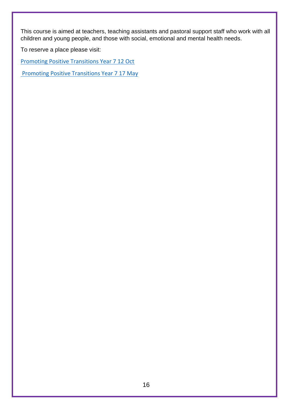This course is aimed at teachers, teaching assistants and pastoral support staff who work with all children and young people, and those with social, emotional and mental health needs.

To reserve a place please visit:

[Promoting Positive Transitions Year 7 12 Oct](https://www.eventbrite.co.uk/e/promoting-positive-transitions-for-year-7s-settling-into-secondary-school-tickets-166633608609)

**Promoting Positive Transitions Year 7 17 May**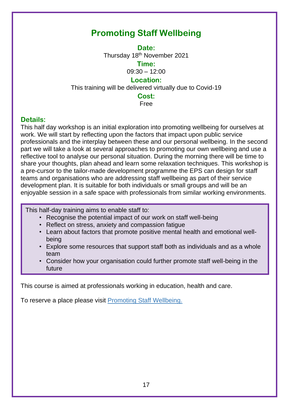### <span id="page-16-0"></span>**Promoting Staff Wellbeing**

**Date:** Thursday 18th November 2021

**Time:**

09:30 – 12:00

### **Location:**

This training will be delivered virtually due to Covid-19

### **Cost:**

Free

### **Details:**

This half day workshop is an initial exploration into promoting wellbeing for ourselves at work. We will start by reflecting upon the factors that impact upon public service professionals and the interplay between these and our personal wellbeing. In the second part we will take a look at several approaches to promoting our own wellbeing and use a reflective tool to analyse our personal situation. During the morning there will be time to share your thoughts, plan ahead and learn some relaxation techniques. This workshop is a pre-cursor to the tailor-made development programme the EPS can design for staff teams and organisations who are addressing staff wellbeing as part of their service development plan. It is suitable for both individuals or small groups and will be an enjoyable session in a safe space with professionals from similar working environments.

This half-day training aims to enable staff to:

- Recognise the potential impact of our work on staff well-being
- Reflect on stress, anxiety and compassion fatigue
- Learn about factors that promote positive mental health and emotional wellbeing
- Explore some resources that support staff both as individuals and as a whole team
- Consider how your organisation could further promote staff well-being in the future

This course is aimed at professionals working in education, health and care.

To reserve a place please visit [Promoting Staff Wellbeing.](https://www.eventbrite.co.uk/e/promoting-staff-wellbeing-tickets-166635841287)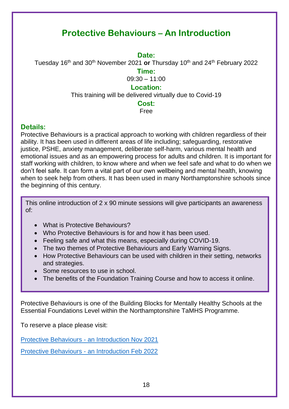### **Protective Behaviours – An Introduction**

**Date:**

<span id="page-17-0"></span>Tuesday 16th and 30th November 2021 **or** Thursday 10th and 24th February 2022

**Time:**

09:30 – 11:00

### **Location:**

This training will be delivered virtually due to Covid-19

#### **Cost:**

Free

### **Details:**

Protective Behaviours is a practical approach to working with children regardless of their ability. It has been used in different areas of life including; safeguarding, restorative justice, PSHE, anxiety management, deliberate self-harm, various mental health and emotional issues and as an empowering process for adults and children. It is important for staff working with children, to know where and when we feel safe and what to do when we don't feel safe. It can form a vital part of our own wellbeing and mental health, knowing when to seek help from others. It has been used in many Northamptonshire schools since the beginning of this century.

This online introduction of 2 x 90 minute sessions will give participants an awareness of:

- What is Protective Behaviours?
- Who Protective Behaviours is for and how it has been used.
- Feeling safe and what this means, especially during COVID-19.
- The two themes of Protective Behaviours and Early Warning Signs.
- How Protective Behaviours can be used with children in their setting, networks and strategies.
- Some resources to use in school.
- The benefits of the Foundation Training Course and how to access it online.

Protective Behaviours is one of the Building Blocks for Mentally Healthy Schools at the Essential Foundations Level within the Northamptonshire TaMHS Programme.

To reserve a place please visit:

Protective Behaviours - [an Introduction Nov 2021](https://www.eventbrite.co.uk/e/protective-behaviours-an-introduction-tickets-166637763035)

Protective Behaviours - [an Introduction Feb 2022](https://www.eventbrite.co.uk/e/protective-behaviours-an-introduction-tickets-166642655669)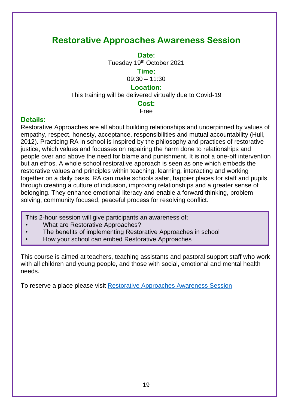### <span id="page-18-0"></span>**Restorative Approaches Awareness Session**

**Date:** Tuesday 19<sup>th</sup> October 2021

**Time:**

09:30 – 11:30

### **Location:**

This training will be delivered virtually due to Covid-19

### **Cost:**

#### Free

### **Details:**

Restorative Approaches are all about building relationships and underpinned by values of empathy, respect, honesty, acceptance, responsibilities and mutual accountability (Hull, 2012). Practicing RA in school is inspired by the philosophy and practices of restorative justice, which values and focusses on repairing the harm done to relationships and people over and above the need for blame and punishment. It is not a one-off intervention but an ethos. A whole school restorative approach is seen as one which embeds the restorative values and principles within teaching, learning, interacting and working together on a daily basis. RA can make schools safer, happier places for staff and pupils through creating a culture of inclusion, improving relationships and a greater sense of belonging. They enhance emotional literacy and enable a forward thinking, problem solving, community focused, peaceful process for resolving conflict.

This 2-hour session will give participants an awareness of;

- What are Restorative Approaches?
- The benefits of implementing Restorative Approaches in school
- How your school can embed Restorative Approaches

This course is aimed at teachers, teaching assistants and pastoral support staff who work with all children and young people, and those with social, emotional and mental health needs.

To reserve a place please visit [Restorative Approaches Awareness Session](https://www.eventbrite.co.uk/e/restorative-approaches-awareness-session-tickets-166643612531)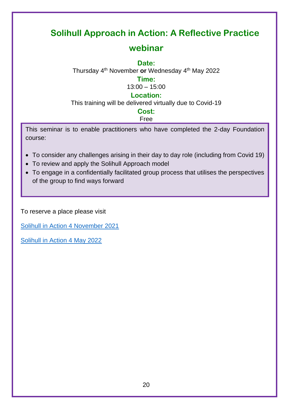### <span id="page-19-0"></span>**Solihull Approach in Action: A Reflective Practice**

### **webinar**

### **Date:**

Thursday 4th November **or** Wednesday 4th May 2022

### **Time:**

13:00 – 15:00

### **Location:**

This training will be delivered virtually due to Covid-19

### **Cost:**

### Free

This seminar is to enable practitioners who have completed the 2-day Foundation course:

- To consider any challenges arising in their day to day role (including from Covid 19)
- To review and apply the Solihull Approach model
- To engage in a confidentially facilitated group process that utilises the perspectives of the group to find ways forward

To reserve a place please visit

[Solihull in Action 4 November](https://www.eventbrite.co.uk/e/solihull-approach-tickets-167060986909) 2021

[Solihull in Action 4 May 2022](https://www.eventbrite.co.uk/e/solihull-in-action-a-reflective-practice-webinar-tickets-167876925403)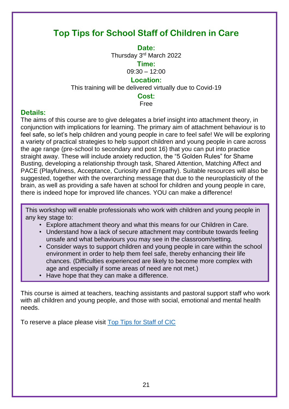### <span id="page-20-0"></span>**Top Tips for School Staff of Children in Care**

**Date:**

Thursday 3rd March 2022

**Time:**

09:30 – 12:00

### **Location:**

This training will be delivered virtually due to Covid-19

**Cost:**

Free

### **Details:**

The aims of this course are to give delegates a brief insight into attachment theory, in conjunction with implications for learning. The primary aim of attachment behaviour is to feel safe, so let's help children and young people in care to feel safe! We will be exploring a variety of practical strategies to help support children and young people in care across the age range (pre-school to secondary and post 16) that you can put into practice straight away. These will include anxiety reduction, the "5 Golden Rules" for Shame Busting, developing a relationship through task, Shared Attention, Matching Affect and PACE (Playfulness, Acceptance, Curiosity and Empathy). Suitable resources will also be suggested, together with the overarching message that due to the neuroplasticity of the brain, as well as providing a safe haven at school for children and young people in care, there is indeed hope for improved life chances. YOU can make a difference!

This workshop will enable professionals who work with children and young people in any key stage to:

- Explore attachment theory and what this means for our Children in Care.
- Understand how a lack of secure attachment may contribute towards feeling unsafe and what behaviours you may see in the classroom/setting.
- Consider ways to support children and young people in care within the school environment in order to help them feel safe, thereby enhancing their life chances. (Difficulties experienced are likely to become more complex with age and especially if some areas of need are not met.)
- Have hope that they can make a difference.

This course is aimed at teachers, teaching assistants and pastoral support staff who work with all children and young people, and those with social, emotional and mental health needs.

To reserve a place please visit [Top Tips for Staff of CIC](https://www.eventbrite.co.uk/e/top-tips-for-school-staff-of-children-in-care-tickets-167047735273)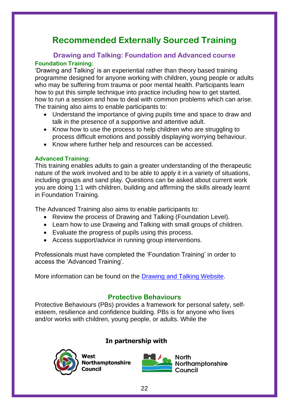### **Recommended Externally Sourced Training**

### <span id="page-21-2"></span><span id="page-21-1"></span><span id="page-21-0"></span>**Drawing and Talking: Foundation and Advanced course Foundation Training:**

'Drawing and Talking' is an experiential rather than theory based training programme designed for anyone working with children, young people or adults who may be suffering from trauma or poor mental health. Participants learn how to put this simple technique into practice including how to get started, how to run a session and how to deal with common problems which can arise. The training also aims to enable participants to:

- Understand the importance of giving pupils time and space to draw and talk in the presence of a supportive and attentive adult.
- Know how to use the process to help children who are struggling to process difficult emotions and possibly displaying worrying behaviour.
- Know where further help and resources can be accessed.

### <span id="page-21-3"></span>**Advanced Training:**

This training enables adults to gain a greater understanding of the therapeutic nature of the work involved and to be able to apply it in a variety of situations, including groups and sand play. Questions can be asked about current work you are doing 1:1 with children, building and affirming the skills already learnt in Foundation Training.

The Advanced Training also aims to enable participants to:

- Review the process of Drawing and Talking (Foundation Level).
- Learn how to use Drawing and Talking with small groups of children.
- Evaluate the progress of pupils using this process.
- Access support/advice in running group interventions.

Professionals must have completed the 'Foundation Training' in order to access the 'Advanced Training'.

More information can be found on the [Drawing and Talking Website.](https://drawingandtalking.com/)

### **Protective Behaviours**

<span id="page-21-4"></span>Protective Behaviours (PBs) provides a framework for personal safety, selfesteem, resilience and confidence building. PBs is for anyone who lives and/or works with children, young people, or adults. While the

### In partnership with



North **Northamptonshire** Council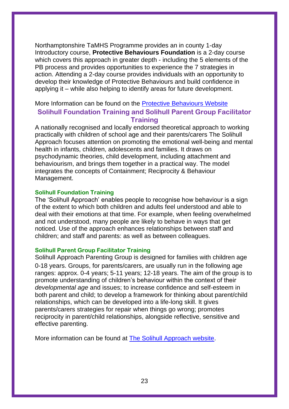Northamptonshire TaMHS Programme provides an in county 1-day Introductory course, **Protective Behaviours Foundation** is a 2-day course which covers this approach in greater depth - including the 5 elements of the PB process and provides opportunities to experience the 7 strategies in action. Attending a 2-day course provides individuals with an opportunity to develop their knowledge of Protective Behaviours and build confidence in applying it – while also helping to identify areas for future development.

### <span id="page-22-0"></span>More Information can be found on the [Protective Behaviours Website](https://www.protectivebehaviourstraining.co.uk/courses/foundation) **Solihull Foundation Training and Solihull Parent Group Facilitator Training**

A nationally recognised and locally endorsed theoretical approach to working practically with children of school age and their parents/carers The Solihull Approach focuses attention on promoting the emotional well-being and mental health in infants, children, adolescents and families. It draws on psychodynamic theories, child development, including attachment and behaviourism, and brings them together in a practical way. The model integrates the concepts of Containment; Reciprocity & Behaviour Management.

#### <span id="page-22-1"></span>**Solihull Foundation Training**

The 'Solihull Approach' enables people to recognise how behaviour is a sign of the extent to which both children and adults feel understood and able to deal with their emotions at that time. For example, when feeling overwhelmed and not understood, many people are likely to behave in ways that get noticed. Use of the approach enhances relationships between staff and children; and staff and parents: as well as between colleagues.

#### <span id="page-22-2"></span>**Solihull Parent Group Facilitator Training**

Solihull Approach Parenting Group is designed for families with children age 0-18 years. Groups, for parents/carers, are usually run in the following age ranges: approx. 0-4 years; 5-11 years; 12-18 years. The aim of the group is to promote understanding of children's behaviour within the context of their *developmental age* and issues; to increase confidence and self-esteem in both parent and child; to develop a framework for thinking about parent/child relationships, which can be developed into a life-long skill. It gives parents/carers strategies for repair when things go wrong; promotes reciprocity in parent/child relationships, alongside reflective, sensitive and effective parenting.

More information can be found at [The Solihull Approach website.](https://solihullapproachparenting.com/book-now-on-training/)